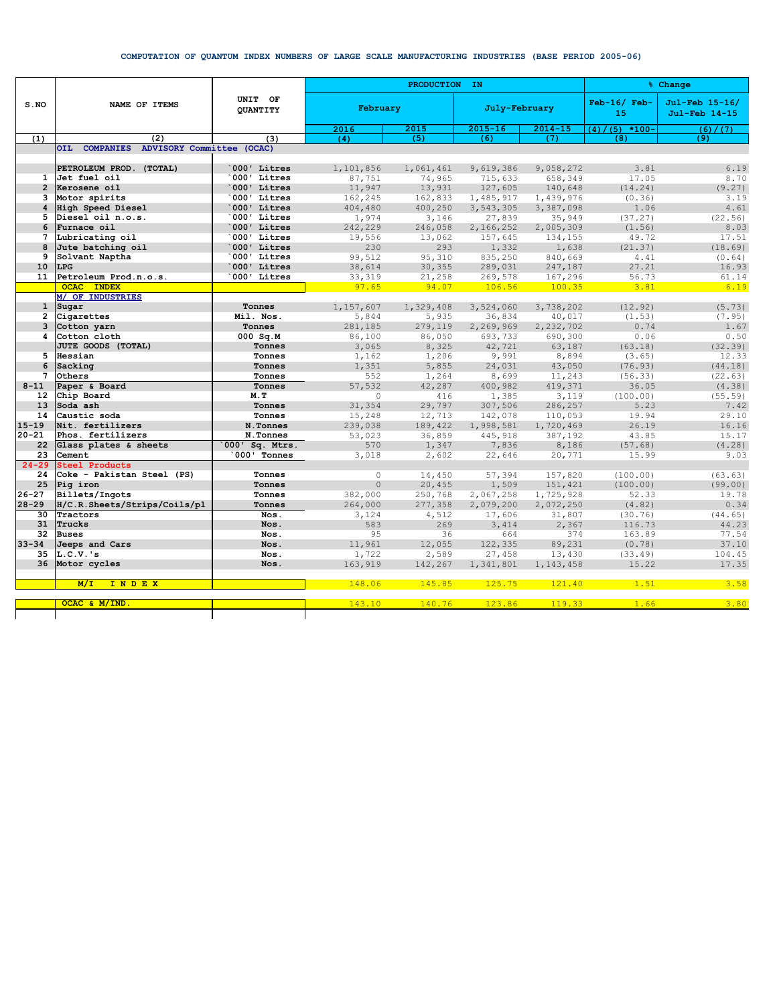## COMPUTATION OF QUANTUM INDEX NUMBERS OF LARGE SCALE MANUFACTURING INDUSTRIES (BASE PERIOD 2005-06)

|                 | NAME OF ITEMS                           | UNIT OF<br><b>OUANTITY</b> |                  | PRODUCTION IN   | % Change          |                   |                      |                                 |
|-----------------|-----------------------------------------|----------------------------|------------------|-----------------|-------------------|-------------------|----------------------|---------------------------------|
| $S$ . NO        |                                         |                            | February         |                 | July-February     |                   | $Feb-16/$ Feb-<br>15 | Jul-Feb 15-16/<br>Jul-Feb 14-15 |
|                 |                                         |                            | 2016             | 2015            | $2015 - 16$       | $2014 - 15$       | $(5)$ *100-<br>(4)   | (6) / (7)                       |
| (1)             | (2)                                     | (3)                        | (4)              | (5)             | (6)               | (7)               | (8)                  | (9)                             |
|                 | OIL COMPANIES ADVISORY Committee (OCAC) |                            |                  |                 |                   |                   |                      |                                 |
|                 |                                         |                            |                  |                 |                   |                   |                      |                                 |
|                 | PETROLEUM PROD. (TOTAL)                 | 000' Litres                | 1,101,856        | 1,061,461       | 9,619,386         | 9,058,272         | 3.81                 | 6.19                            |
| $\mathbf{1}$    | Jet fuel oil                            | 000' Litres                | 87,751           | 74,965          | 715,633           | 658,349           | 17.05                | 8.70                            |
| $\overline{2}$  | Kerosene oil                            | 000' Litres                | 11,947           | 13,931          | 127,605           | 140,648           | (14.24)              | (9.27)                          |
| 3               | Motor spirits                           | 000' Litres<br>000' Litres | 162,245          | 162,833         | 1,485,917         | 1,439,976         | (0.36)               | 3.19<br>4.61                    |
| 4<br>5          | High Speed Diesel<br>Diesel oil n.o.s.  | 000' Litres                | 404,480          | 400,250         | 3,543,305         | 3,387,098         | 1.06                 | (22.56)                         |
| 6               | Furnace oil                             | 000' Litres                | 1,974            | 3,146           | 27,839            | 35,949            | (37.27)              | 8.03                            |
| 7               | Lubricating oil                         | 000' Litres                | 242,229          | 246,058         | 2,166,252         | 2,005,309         | (1.56)<br>49.72      | 17.51                           |
| 8               | Jute batching oil                       | 000' Litres                | 19,556<br>230    | 13,062<br>293   | 157,645           | 134,155           |                      | (18.69)                         |
| 9               | Solvant Naptha                          | 000' Litres                |                  |                 | 1,332             | 1,638             | (21.37)<br>4.41      | (0.64)                          |
| 10              | <b>LPG</b>                              | 000' Litres                | 99,512           | 95,310          | 835,250           | 840,669           | 27.21                | 16.93                           |
| 11              | Petroleum Prod.n.o.s.                   | 000' Litres                | 38,614<br>33,319 | 30,355          | 289,031           | 247,187           | 56.73                | 61.14                           |
|                 | <b>OCAC INDEX</b>                       |                            | 97.65            | 21,258<br>94.07 | 269,578<br>106.56 | 167,296<br>100.35 | 3.81                 | 6.19                            |
|                 | M/ OF INDUSTRIES                        |                            |                  |                 |                   |                   |                      |                                 |
| $\mathbf{1}$    | Sugar                                   | Tonnes                     | 1,157,607        | 1,329,408       | 3,524,060         | 3,738,202         | (12.92)              | (5.73)                          |
| $\overline{2}$  | Cigarettes                              | Mil. Nos.                  | 5,844            | 5,935           | 36,834            | 40,017            | (1.53)               | (7.95)                          |
| 3               | Cotton yarn                             | Tonnes                     | 281,185          | 279,119         | 2,269,969         | 2,232,702         | 0.74                 | 1.67                            |
| 4               | Cotton cloth                            | $000$ Sq.M                 | 86,100           | 86,050          | 693,733           | 690,300           | 0.06                 | 0.50                            |
|                 | JUTE GOODS (TOTAL)                      | Tonnes                     | 3,065            | 8,325           | 42,721            | 63,187            | (63.18)              | (32.39)                         |
| 5               | Hessian                                 | Tonnes                     | 1,162            | 1,206           | 9,991             | 8,894             | (3.65)               | 12.33                           |
| 6               | Sacking                                 | Tonnes                     | 1,351            | 5,855           | 24,031            | 43,050            | (76.93)              | (44.18)                         |
| 7               | Others                                  | Tonnes                     | 552              | 1,264           | 8,699             | 11,243            | (56.33)              | (22.63)                         |
| $8 - 11$        | Paper & Board                           | Tonnes                     | 57,532           | 42,287          | 400,982           | 419,371           | 36.05                | (4.38)                          |
| 12 <sup>2</sup> | Chip Board                              | M.T                        | $\circ$          | 416             | 1,385             | 3,119             | (100.00)             | (55.59)                         |
| 13              | Soda ash                                | Tonnes                     | 31,354           | 29,797          | 307,506           | 286,257           | 5.23                 | 7.42                            |
| 14              | Caustic soda                            | Tonnes                     | 15,248           | 12,713          | 142,078           | 110,053           | 19.94                | 29.10                           |
| $15 - 19$       | Nit. fertilizers                        | N.Tonnes                   | 239,038          | 189,422         | 1,998,581         | 1,720,469         | 26.19                | 16.16                           |
| $20 - 21$       | Phos. fertilizers                       | N.Tonnes                   | 53,023           | 36,859          | 445,918           | 387,192           | 43.85                | 15.17                           |
| 22              | Glass plates & sheets                   | 000' Sq. Mtrs.             | 570              | 1,347           | 7,836             | 8,186             | (57.68)              | (4.28)                          |
| 23              | Cement                                  | 000' Tonnes                | 3,018            | 2,602           | 22,646            | 20,771            | 15.99                | 9.03                            |
| $24 - 29$       | <b>Steel Products</b>                   |                            |                  |                 |                   |                   |                      |                                 |
| 24              | Coke - Pakistan Steel (PS)              | Tonnes                     | $\circ$          | 14,450          | 57,394            | 157,820           | (100.00)             | (63.63)                         |
| 25              | Pig iron                                | Tonnes                     | $\mathbf{0}$     | 20,455          | 1,509             | 151,421           | (100.00)             | (99.00)                         |
| $26 - 27$       | Billets/Ingots                          | Tonnes                     | 382,000          | 250,768         | 2,067,258         | 1,725,928         | 52.33                | 19.78                           |
| $28 - 29$       | H/C.R.Sheets/Strips/Coils/pl            | Tonnes                     | 264,000          | 277,358         | 2,079,200         | 2,072,250         | (4.82)               | 0.34                            |
| 30              | Tractors                                | Nos.                       | 3,124            | 4,512           | 17,606            | 31,807            | (30.76)              | (44.65)                         |
| 31              | Trucks                                  | Nos.                       | 583              | 269             | 3,414             | 2,367             | 116.73               | 44.23                           |
| 32              | <b>Buses</b>                            | Nos.                       | 95               | 36              | 664               | 374               | 163.89               | 77.54                           |
| $33 - 34$       | Jeeps and Cars                          | Nos.                       | 11,961           | 12,055          | 122,335           | 89,231            | (0.78)               | 37.10                           |
| 35              | $L.C.V.$ 's                             | Nos.                       | 1,722            | 2,589           | 27,458            | 13,430            | (33.49)              | 104.45                          |
| 36              | Motor cycles                            | Nos.                       | 163,919          | 142,267         | 1,341,801         | 1, 143, 458       | 15.22                | 17.35                           |
|                 |                                         |                            |                  |                 |                   |                   |                      |                                 |
|                 | M/L<br>INDEX                            |                            | 148.06           | 145.85          | 125.75            | 121.40            | 1.51                 | 3.58                            |
|                 |                                         |                            |                  |                 |                   |                   |                      |                                 |
|                 | OCAC & M/IND                            |                            | 143.10           | 140.76          | 123.86            | 119.33            | 1.66                 | 3.80                            |
|                 |                                         |                            |                  |                 |                   |                   |                      |                                 |